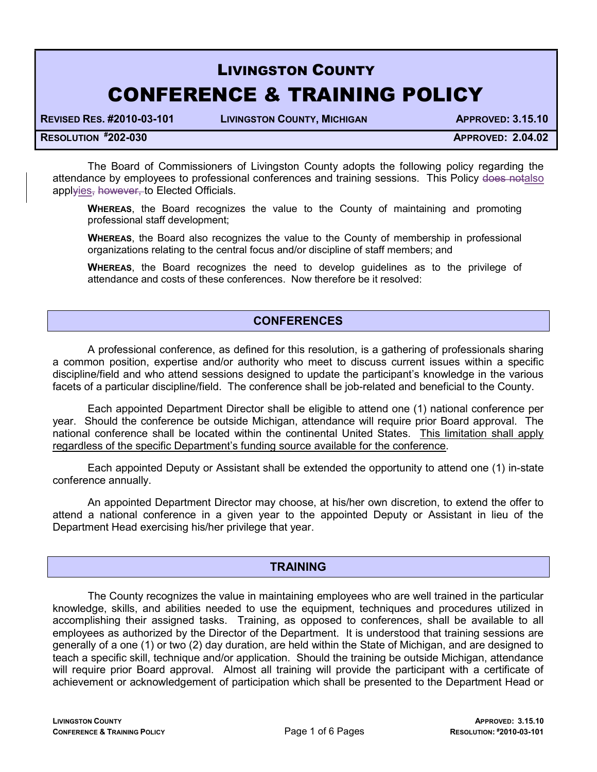# LIVINGSTON COUNTY CONFERENCE & TRAINING POLICY

REVISED RES. #2010-03-101 LIVINGSTON COUNTY, MICHIGAN APPROVED: 3.15.10

RESOLUTION #202-030 APPROVED: 2.04.02

The Board of Commissioners of Livingston County adopts the following policy regarding the attendance by employees to professional conferences and training sessions. This Policy does notalso applyies, however, to Elected Officials.

WHEREAS, the Board recognizes the value to the County of maintaining and promoting professional staff development;

 WHEREAS, the Board also recognizes the value to the County of membership in professional organizations relating to the central focus and/or discipline of staff members; and

WHEREAS, the Board recognizes the need to develop guidelines as to the privilege of attendance and costs of these conferences. Now therefore be it resolved:

# **CONFERENCES**

A professional conference, as defined for this resolution, is a gathering of professionals sharing a common position, expertise and/or authority who meet to discuss current issues within a specific discipline/field and who attend sessions designed to update the participant's knowledge in the various facets of a particular discipline/field. The conference shall be job-related and beneficial to the County.

Each appointed Department Director shall be eligible to attend one (1) national conference per year. Should the conference be outside Michigan, attendance will require prior Board approval. The national conference shall be located within the continental United States. This limitation shall apply regardless of the specific Department's funding source available for the conference.

Each appointed Deputy or Assistant shall be extended the opportunity to attend one (1) in-state conference annually.

An appointed Department Director may choose, at his/her own discretion, to extend the offer to attend a national conference in a given year to the appointed Deputy or Assistant in lieu of the Department Head exercising his/her privilege that year.

# **TRAINING**

 The County recognizes the value in maintaining employees who are well trained in the particular knowledge, skills, and abilities needed to use the equipment, techniques and procedures utilized in accomplishing their assigned tasks. Training, as opposed to conferences, shall be available to all employees as authorized by the Director of the Department. It is understood that training sessions are generally of a one (1) or two (2) day duration, are held within the State of Michigan, and are designed to teach a specific skill, technique and/or application. Should the training be outside Michigan, attendance will require prior Board approval. Almost all training will provide the participant with a certificate of achievement or acknowledgement of participation which shall be presented to the Department Head or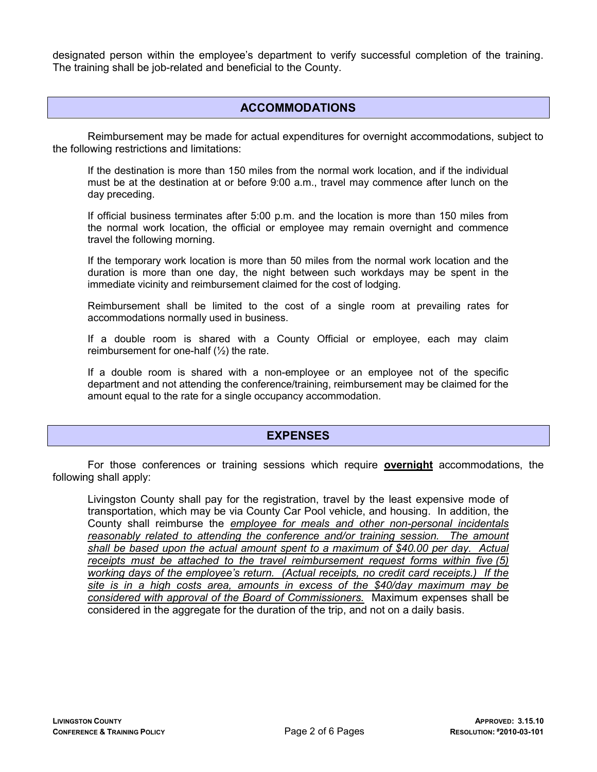designated person within the employee's department to verify successful completion of the training. The training shall be job-related and beneficial to the County.

### ACCOMMODATIONS

Reimbursement may be made for actual expenditures for overnight accommodations, subject to the following restrictions and limitations:

If the destination is more than 150 miles from the normal work location, and if the individual must be at the destination at or before 9:00 a.m., travel may commence after lunch on the day preceding.

If official business terminates after 5:00 p.m. and the location is more than 150 miles from the normal work location, the official or employee may remain overnight and commence travel the following morning.

If the temporary work location is more than 50 miles from the normal work location and the duration is more than one day, the night between such workdays may be spent in the immediate vicinity and reimbursement claimed for the cost of lodging.

Reimbursement shall be limited to the cost of a single room at prevailing rates for accommodations normally used in business.

If a double room is shared with a County Official or employee, each may claim reimbursement for one-half  $(\frac{1}{2})$  the rate.

If a double room is shared with a non-employee or an employee not of the specific department and not attending the conference/training, reimbursement may be claimed for the amount equal to the rate for a single occupancy accommodation.

#### EXPENSES

For those conferences or training sessions which require **overnight** accommodations, the following shall apply:

Livingston County shall pay for the registration, travel by the least expensive mode of transportation, which may be via County Car Pool vehicle, and housing. In addition, the County shall reimburse the employee for meals and other non-personal incidentals reasonably related to attending the conference and/or training session. The amount shall be based upon the actual amount spent to a maximum of \$40.00 per day. Actual receipts must be attached to the travel reimbursement request forms within five (5) working days of the employee's return. (Actual receipts, no credit card receipts.) If the site is in a high costs area, amounts in excess of the \$40/day maximum may be considered with approval of the Board of Commissioners. Maximum expenses shall be considered in the aggregate for the duration of the trip, and not on a daily basis.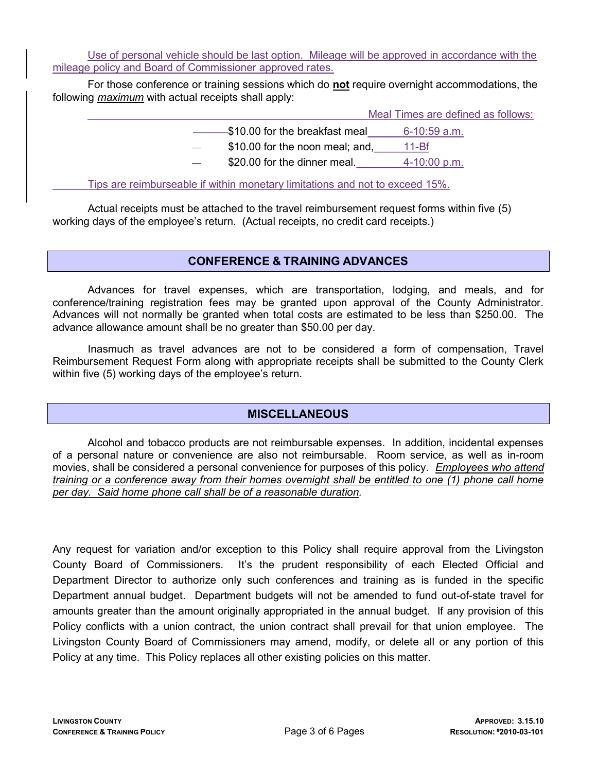Use of personal vehicle should be last option. Mileage will be approved in accordance with the mileage policy and Board of Commissioner approved rates.

For those conference or training sessions which do **not** require overnight accommodations, the following maximum with actual receipts shall apply:

Meal Times are defined as follows:

 $-$ \$10.00 for the breakfast meal 6-10:59 a.m. \$10.00 for the noon meal; and, 11-Bf \$20.00 for the dinner meal. 4-10:00 p.m.

Tips are reimburseable if within monetary limitations and not to exceed 15%.

 Actual receipts must be attached to the travel reimbursement request forms within five (5) working days of the employee's return. (Actual receipts, no credit card receipts.)

# CONFERENCE & TRAINING ADVANCES

Advances for travel expenses, which are transportation, lodging, and meals, and for conference/training registration fees may be granted upon approval of the County Administrator. Advances will not normally be granted when total costs are estimated to be less than \$250.00. The advance allowance amount shall be no greater than \$50.00 per day.

 Inasmuch as travel advances are not to be considered a form of compensation, Travel Reimbursement Request Form along with appropriate receipts shall be submitted to the County Clerk within five (5) working days of the employee's return.

# **MISCELLANEOUS**

Alcohol and tobacco products are not reimbursable expenses. In addition, incidental expenses of a personal nature or convenience are also not reimbursable. Room service, as well as in-room movies, shall be considered a personal convenience for purposes of this policy. Employees who attend training or a conference away from their homes overnight shall be entitled to one (1) phone call home per day. Said home phone call shall be of a reasonable duration.

Any request for variation and/or exception to this Policy shall require approval from the Livingston County Board of Commissioners. It's the prudent responsibility of each Elected Official and Department Director to authorize only such conferences and training as is funded in the specific Department annual budget. Department budgets will not be amended to fund out-of-state travel for amounts greater than the amount originally appropriated in the annual budget. If any provision of this Policy conflicts with a union contract, the union contract shall prevail for that union employee. The Livingston County Board of Commissioners may amend, modify, or delete all or any portion of this Policy at any time. This Policy replaces all other existing policies on this matter.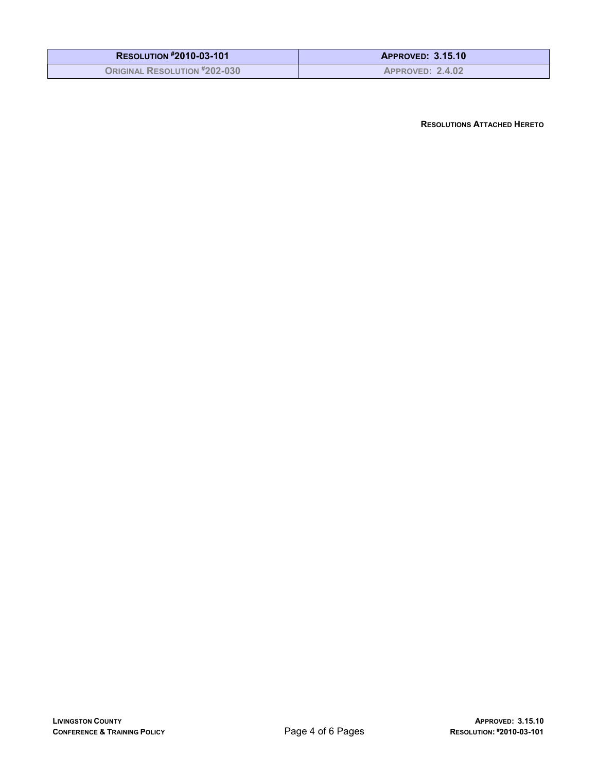| <b>RESOLUTION #2010-03-101</b>      | <b>APPROVED: 3.15.10</b> |
|-------------------------------------|--------------------------|
| <b>ORIGINAL RESOLUTION #202-030</b> | <b>APPROVED: 2.4.02</b>  |

RESOLUTIONS ATTACHED HERETO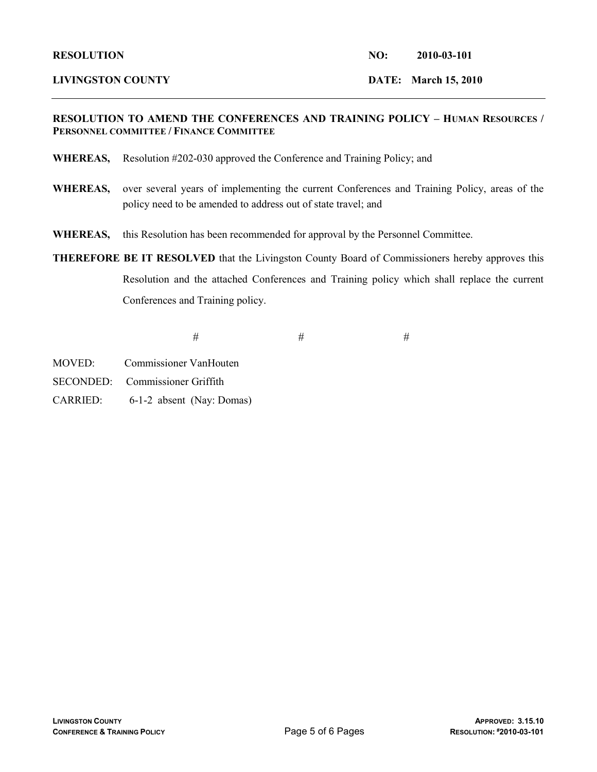#### LIVINGSTON COUNTY DATE: March 15, 2010

#### RESOLUTION TO AMEND THE CONFERENCES AND TRAINING POLICY – HUMAN RESOURCES / PERSONNEL COMMITTEE / FINANCE COMMITTEE

- WHEREAS, Resolution #202-030 approved the Conference and Training Policy; and
- WHEREAS, over several years of implementing the current Conferences and Training Policy, areas of the policy need to be amended to address out of state travel; and
- WHEREAS, this Resolution has been recommended for approval by the Personnel Committee.
- THEREFORE BE IT RESOLVED that the Livingston County Board of Commissioners hereby approves this Resolution and the attached Conferences and Training policy which shall replace the current Conferences and Training policy.

 $#$   $#$ 

- MOVED: Commissioner VanHouten
- SECONDED: Commissioner Griffith
- CARRIED: 6-1-2 absent (Nay: Domas)